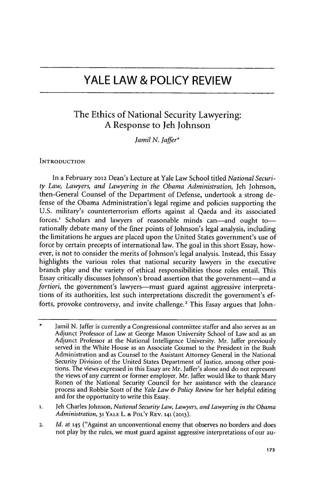# **YALE LAW & POLICY REVIEW**

# The Ethics of National Security Lawyering: **A** Response to Jeh Johnson

*Jamil N. Jaffer\**

# **INTRODUCTION**

In a February **2012** Dean's Lecture at Yale Law School titled *National Security Law, Lawyers, and Lawyering in the Obama Administration,* Jeh Johnson, then-General Counsel of the Department of Defense, undertook a strong defense of the Obama Administration's legal regime and policies supporting the **U.S.** military's counterterrorism efforts against al Qaeda and its associated forces.<sup>1</sup> Scholars and lawyers of reasonable minds can-and ought torationally debate many of the finer points of Johnson's legal analysis, including the limitations he argues are placed upon the United States government's use of force **by** certain precepts of international law. The goal in this short Essay, however, is not to consider the merits of Johnson's legal analysis. Instead, this Essay highlights the various roles that national security lawyers in the executive branch play and the variety of ethical responsibilities those roles entail. This Essay critically discusses Johnson's broad assertion that the government-and *a fortiori*, the government's lawyers—must guard against aggressive interpretations of its authorities, lest such interpretations discredit the government's efforts, provoke controversy, and invite challenge.' This Essay argues that John-

\* Jamil **N.** Jaffer is currently a Congressional committee staffer and also serves as an Adjunct Professor of Law at George Mason University School of Law and as an Adjunct Professor at the National Intelligence University. Mr. Jaffer previously served in the White House as an Associate Counsel to the President in the Bush Administration and as Counsel to the Assistant Attorney General in the National Security Division of the United States Department of Justice, among other positions. The views expressed in this Essay are Mr. Jaffer's alone and do not represent the views of any current or former employer. Mr. Jaffer would like to thank Mary Ronen of the National Security Council for her assistance with the clearance process and Robbie Scott of the *Yale Law & Policy Review* for her helpful editing and for the opportunity to write this Essay.

**1.** Jeh Charles Johnson, *National Security Law, Lawyers, and Lawyering in the Obama Administration,* **31 YALE** L. **& POL'Y REV. 141 (2013).**

**2.** *Id.* at **145** ("Against an unconventional enemy that observes no borders and does not play **by** the rules, we must guard against aggressive interpretations of our au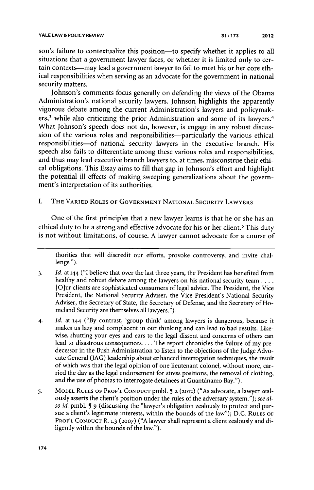son's failure to contextualize this position--to specify whether it applies to all situations that a government lawyer faces, or whether it is limited only to certain contexts-may lead a government lawyer to fail to meet his or her core ethical responsibilities when serving as an advocate for the government in national security matters.

Johnson's comments focus generally on defending the views of the Obama Administration's national security lawyers. Johnson highlights the apparently vigorous debate among the current Administration's lawyers and policymakers,<sup>3</sup> while also criticizing the prior Administration and some of its lawyers.<sup>4</sup> What Johnson's speech does not do, however, is engage in any robust discussion of the various roles and responsibilities—particularly the various ethical responsibilities-of national security lawyers in the executive branch. His speech also fails to differentiate among these various roles and responsibilities, and thus may lead executive branch lawyers to, at times, misconstrue their ethical obligations. This Essay aims to **fill** that gap in Johnson's effort and highlight the potential ill effects of making sweeping generalizations about the government's interpretation of its authorities.

# **I. THE VARIED ROLES OF GOVERNMENT NATIONAL SECURITY LAWYERS**

One of the first principles that a new lawyer learns is that he or she has an ethical duty to be a strong and effective advocate for his or her client.<sup>5</sup> This duty is not without limitations, of course. **A** lawyer cannot advocate for a course of

thorities that will discredit our efforts, provoke controversy, and invite challenge.").

- **3.** *Id.* at **144 ("I** believe that over the last three years, the President has benefited from healthy and robust debate among the lawyers on his national security team **....** [O]ur clients are sophisticated consumers of legal advice. The President, the Vice President, the National Security Adviser, the Vice President's National Security Adviser, the Secretary of State, the Secretary of Defense, and the Secretary of Homeland Security are themselves all lawyers.").
- **4.** *Id.* at **144 ("By** contrast, 'group think' among lawyers is dangerous, because **it** makes us lazy and complacent in our thinking and can lead to bad results. Likewise, shutting your eyes and ears to the legal dissent and concerns of others can lead to disastrous consequences.... The report chronicles the failure of my predecessor in the Bush Administration to listen to the objections of the Judge Advocate General **(JAG)** leadership about enhanced interrogation techniques, the result of which was that the legal opinion of one lieutenant colonel, without more, carried the day as the legal endorsement for stress positions, the removal of clothing, and the use of phobias to interrogate detainees at Guantánamo Bay.").
- **5. MODEL RULES OF PROF'L CONDUCT** pmbl. **5 2 (2012)** ("As advocate, a lawyer zealously asserts the client's position under the rules of the adversary system."); *see also id.* pmbl. *9* (discussing the "lawyer's obligation zealously to protect and pursue a client's legitimate interests, within the bounds of the law"); **D.C. RULES OF PROF'L CONDUCT** R. **1.3 (2007) ("A** lawyer shall represent a client zealously and diligently within the bounds of the law.").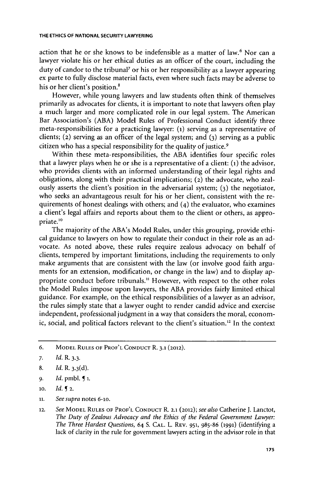action that he or she knows to be indefensible as a matter of law.' Nor can a lawyer violate his or her ethical duties as an officer of the court, including the duty of candor to the tribunal' or his or her responsibility as a lawyer appearing ex parte to fully disclose material facts, even where such facts may be adverse to his or her client's position.<sup>8</sup>

However, while young lawyers and law students often think of themselves primarily as advocates for clients, it is important to note that lawyers often play a much larger and more complicated role in our legal system. The American Bar Association's **(ABA)** Model Rules of Professional Conduct identify three meta-responsibilities for a practicing lawyer: **(i)** serving as a representative of clients; (2) serving as an officer of the legal system; and **(3)** serving as a public citizen who has a special responsibility for the quality of justice.9

Within these meta-responsibilities, the **ABA** identifies four specific roles that a lawyer plays when he or she is a representative of a client:  $(i)$  the advisor, who provides clients with an informed understanding of their legal rights and obligations, along with their practical implications; (2) the advocate, who zealously asserts the client's position in the adversarial system; **(3)** the negotiator, who seeks an advantageous result for his or her client, consistent with the requirements of honest dealings with others; and (4) the evaluator, who examines a client's legal affairs and reports about them to the client or others, as appropriate.<sup>10</sup>

The majority of the ABA's Model Rules, under this grouping, provide ethical guidance to lawyers on how to regulate their conduct in their role as an advocate. As noted above, these rules require zealous advocacy on behalf of clients, tempered **by** important limitations, including the requirements to only make arguments that are consistent with the law (or involve good faith arguments for an extension, modification, or change in the law) and to display appropriate conduct before tribunals." However, with respect to the other roles the Model Rules impose upon lawyers, the **ABA** provides fairly limited ethical guidance. For example, on the ethical responsibilities of a lawyer as an advisor, the rules simply state that a lawyer ought to render candid advice and exercise independent, professional judgment in a way that considers the moral, economic, social, and political factors relevant to the client's situation." In the context

- *9. Id.* pmbl. **1 1.**
- **10.** *Id.* **2.**
- **ni.** *See supra* notes *6-10.*
- *12. See* **MODEL RULES OF PROF'L CONDUCT** R. **2.1 (2012);** *see also* Catherine **J.** Lanctot, *The Duty of Zealous Advocacy and the Ethics of the Federal Government Lawyer: The Three Hardest Questions, 64 S.* **CAL.** L. **REV. 951, 985-86 (1991)** (identifying a lack of clarity in the rule for government lawyers acting in the advisor role in that

*<sup>6.</sup>* **MODEL RULES OF PROF'L CONDUCT** R. **3.1 (2012).**

*<sup>7.</sup> Id.* R. *3.3.*

**<sup>8.</sup>** *Id.* R. **3.3(d).**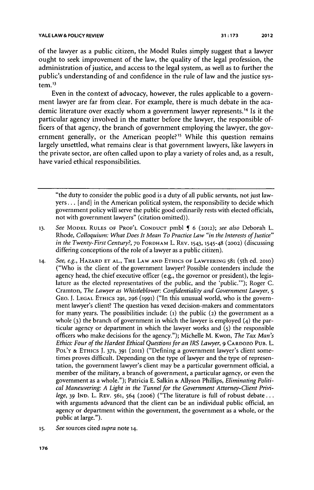of the lawyer as a public citizen, the Model Rules simply suggest that a lawyer ought to seek improvement of the law, the quality of the legal profession, the administration of justice, and access to the legal system, as well as to further the public's understanding of and confidence in the rule of law and the justice system.<sup>13</sup>

Even in the context **of** advocacy, however, the rules applicable to a government lawyer are far from clear. For example, there is much debate in the academic literature over exactly whom a government lawyer represents.14 **Is** it the particular agency involved in the matter before the lawyer, the responsible officers of that agency, the branch of government employing the lawyer, the government generally, or the American people?<sup>15</sup> While this question remains largely unsettled, what remains clear is that government lawyers, like lawyers in the private sector, are often called upon to play a variety of roles and, as a result, have varied ethical responsibilities.

"the duty to consider the public good is a duty of all public servants, not just law**yers...** [and] in the American political system, the responsibility to decide which government policy will serve the public good ordinarily rests with elected officials, not with government lawyers" (citation omitted)).

- 13. See MODEL RULES OF PROF'L CONDUCT pmbl **[** 6 (2012); see also Deborah L. Rhode, *Colloquium: What Does It Mean To Practice Law "in the Interests of Justice" in the Twenty-First Century?,* **70 FORDHAM** L. **REV. 1543,** 1545-48 (2002) (discussing differing conceptions of the role of a lawyer as a public citizen).
- **14.** *See, e.g.,* HAZARD **ET AL.,** THE LAW **AND ETHICS OF** LAWYERING **581** (5th ed. **2010)** ("Who is the client of the government lawyer? Possible contenders include the agency head, the chief executive officer (e.g., the governor or president), the legislature as the elected representatives of the public, and the 'public."'); Roger **C.** Cramton, *The Lawyer as Whistleblower: Confidentiality and Government Lawyer, 5* GEO. **J. LEGAL ETHICS 291, 296 (1991)** ("In this unusual world, who is the government lawyer's client? The question has vexed decision-makers and commentators for many years. The possibilities include: **(1)** the public **(2)** the government as a whole **(3)** the branch of government in which the lawyer is employed (4) the particular agency or department in which the lawyer works and **(5)** the responsible officers who make decisions for the agency."); Michelle M. Kwon, *The Tax Man's Ethics: Four of the Hardest Ethical Questions for an IRS Lawyer,* **9 CARDOZO PUB.** L. POL'Y & ETHICS J. 371, 391 (2011) ("Defining a government lawyer's client sometimes proves difficult. Depending on the type of lawyer and the type of representation, the government lawyer's client may be a particular government official, a member of the military, a branch of government, a particular agency, or even the government as a whole."); Patricia **E.** Salkin **&** Allyson Phillips, *Eliminating Political Maneuvering: A Light in the Tunnel for the Government Attorney-Client Privilege, 39* **IND.** L. REV. **561,** 564 **(20o6)** ("The literature is full of robust debate... with arguments advanced that the client can be an individual public official, an agency or department within the government, the government as a whole, or the public at large.").
- **15.** *See* sources cited *supra* note **14.**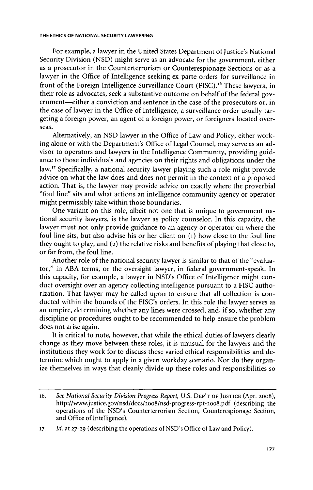For example, a lawyer in the United States Department of Justice's National Security Division **(NSD)** might serve as an advocate for the government, either as a prosecutor in the Counterterrorism or Counterespionage Sections or as a lawyer in the Office of Intelligence seeking ex parte orders for surveillance in front of the Foreign Intelligence Surveillance Court **(FISC).16** These lawyers, in their role as advocates, seek a substantive outcome on behalf of the federal government—either a conviction and sentence in the case of the prosecutors or, in the case of lawyer in the Office of Intelligence, a surveillance order usually targeting a foreign power, an agent of a foreign power, or foreigners located overseas.

Alternatively, an **NSD** lawyer in the Office of Law and Policy, either working alone or with the Department's Office of Legal Counsel, may serve as an advisor to operators and lawyers in the Intelligence Community, providing guidance to those individuals and agencies on their rights and obligations under the law.<sup>17</sup> Specifically, a national security lawyer playing such a role might provide advice on what the law does and does not permit in the context of a proposed action. That is, the lawyer may provide advice on exactly where the proverbial "foul line" sits and what actions an intelligence community agency or operator might permissibly take within those boundaries.

One variant on this role, albeit not one that is unique to government national security lawyers, is the lawyer as policy counselor. In this capacity, the lawyer must not only provide guidance to an agency or operator on where the foul line sits, but also advise his or her client on **(i)** how close to the foul line they ought to play, and (2) the relative risks and benefits of playing that close to, or far from, the foul line.

Another role of the national security lawyer is similar to that of the "evaluator," in **ABA** terms, or the oversight lawyer, in federal government-speak. In this capacity, for example, a lawyer in NSD's Office of Intelligence might conduct oversight over an agency collecting intelligence pursuant to a **FISC** authorization. That lawyer may be called upon to ensure that all collection is conducted within the bounds of the FISC's orders. In this role the lawyer serves as an umpire, determining whether any lines were crossed, and, if so, whether any discipline or procedures ought to be recommended to help ensure the problem does not arise again.

It is critical to note, however, that while the ethical duties of lawyers clearly change as they move between these roles, it is unusual for the lawyers and the institutions they work for to discuss these varied ethical responsibilities and determine which ought to apply in a given workday scenario. Nor do they organize themselves in ways that cleanly divide up these roles and responsibilities so

*<sup>16.</sup> See National Security Division Progress Report,* **U.S. DEP'T** OF **JUSTICE** (Apr. **2008),** http://www.justice.gov/nsd/docs/2008/nsd-progress-rpt-2o8.pdf (describing the operations of the NSD's Counterterrorism Section, Counterespionage Section, and Office of Intelligence).

**<sup>17.</sup>** *Id.* at **27-29** (describing the operations of NSD's Office of Law and Policy).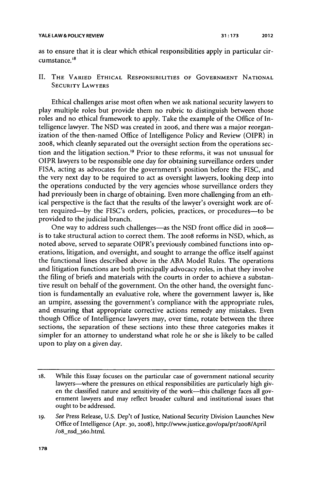as to ensure that it is clear which ethical responsibilities apply in particular circumstance.<sup>18</sup>

# II. THE **VARIED ETHICAL RESPONSIBILITIES OF GOVERNMENT NATIONAL SECURITY LAWYERS**

Ethical challenges arise most often when we ask national security lawyers to play multiple roles but provide them no rubric to distinguish between those roles and no ethical framework to apply. Take the example of the Office of Intelligence lawyer. The **NSD** was created in **20o6,** and there was a major reorganization of the then-named Office of Intelligence Policy and Review (OIPR) in **20o8,** which cleanly separated out the oversight section from the operations section and the litigation section.'9 Prior to these reforms, it was not unusual for OIPR lawyers to be responsible one day for obtaining surveillance orders under **FISA,** acting as advocates for the government's position before the **FISC,** and the very next day to be required to act as oversight lawyers, looking deep into the operations conducted **by** the very agencies whose surveillance orders they had previously been in charge of obtaining. Even more challenging from an ethical perspective is the fact that the results of the lawyer's oversight work are often required-by the FISC's orders, policies, practices, or procedures-to be provided to the judicial branch.

One way to address such challenges-as the **NSD** front office did in **2008** is to take structural action to correct them. The **2008** reforms in **NSD,** which, as noted above, served to separate OIPR's previously combined functions into operations, litigation, and oversight, and sought to arrange the office itself against the functional lines described above in the **ABA** Model Rules. The operations and litigation functions are both principally advocacy roles, in that they involve the filing of briefs and materials with the courts in order to achieve a substantive result on behalf of the government. On the other hand, the oversight function is fundamentally an evaluative role, where the government lawyer is, like an umpire, assessing the government's compliance with the appropriate rules, and ensuring that appropriate corrective actions remedy any mistakes. Even though Office of Intelligence lawyers may, over time, rotate between the three sections, the separation of these sections into these three categories makes it simpler for an attorney to understand what role he or she is likely to be called upon to play on a given day.

**<sup>18.</sup>** While this Essay focuses on the particular case of government national security lawyers-where the pressures on ethical responsibilities are particularly high given the classified nature and sensitivity of the work-this challenge faces all government lawyers and may reflect broader cultural and institutional issues that ought to be addressed.

**<sup>19.</sup>** See Press Release, **U.S.** Dep't of Justice, National Security Division Launches New Office of Intelligence (Apr. **30, 2008),** http://www.justice.gov/opalpr/20o8/April /o8\_nsd\_36o.html.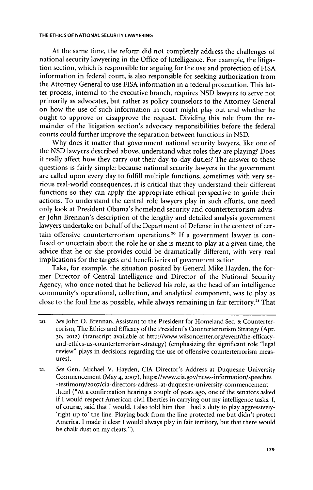At the same time, the reform did not completely address the challenges of national security lawyering in the Office of Intelligence. For example, the litigation section, which is responsible for arguing for the use and protection of **FISA** information in federal court, is also responsible for seeking authorization from the Attorney General to use **FISA** information in a federal prosecution. This latter process, internal to the executive branch, requires **NSD** lawyers to serve not primarily as advocates, but rather as policy counselors to the Attorney General on how the use of such information in court might play out and whether he ought to approve or disapprove the request. Dividing this role from the remainder of the litigation section's advocacy responsibilities before the federal courts could further improve the separation between functions in **NSD.**

**Why** does it matter that government national security lawyers, like one of the **NSD** lawyers described above, understand what roles they are playing? Does it really affect how they carry out their day-to-day duties? The answer to these questions is fairly simple: because national security lawyers in the government are called upon every day to fulfill multiple functions, sometimes with very serious real-world consequences, it is critical that they understand their different functions so they can apply the appropriate ethical perspective to guide their actions. To understand the central role lawyers play in such efforts, one need only look at President Obama's homeland security and counterterrorism adviser John Brennan's description of the lengthy and detailed analysis government lawyers undertake on behalf of the Department of Defense in the context of certain offensive counterterrorism operations.<sup>20</sup> If a government lawyer is confused or uncertain about the role he or she is meant to play at a given time, the advice that he or she provides could be dramatically different, with very real implications for the targets and beneficiaries of government action.

Take, for example, the situation posited **by** General Mike Hayden, the former Director of Central Intelligence and Director of the National Security Agency, who once noted that he believed his role, as the head of an intelligence community's operational, collection, and analytical component, was to play as close to the foul line as possible, while always remaining in fair territory." That

**<sup>20.</sup>** See John **0.** Brennan, Assistant to the President for Homeland Sec. **&** Counterterrorism, The Ethics and Efficacy of the President's Counterterrorism Strategy (Apr. **30, 2012)** (transcript available at http://www.wilsoncenter.org/event/the-efficacyand-ethics-us-counterterrorism-strategy) (emphasizing the significant role "legal review" plays in decisions regarding the use of offensive counterterrorism measures).

**<sup>21.</sup>** See Gen. Michael V. Hayden, **CIA** Director's Address at Duquesne University Commencement (May 4, **2007),** https://www.cia.gov/news-information/speeches -testimony/2007/cia-directors-address-at-duquesne-university-commencement .html ("At a confirmation hearing a couple of years ago, one of the senators asked if **I** would respect American civil liberties in carrying out my intelligence tasks. I, of course, said that **I** would. **I** also told him that **I** had a duty to play aggressively- 'right up to' the line. Playing back from the line protected me but didn't protect America. **I** made it clear **I** would always play in fair territory, but that there would be chalk dust on my cleats.").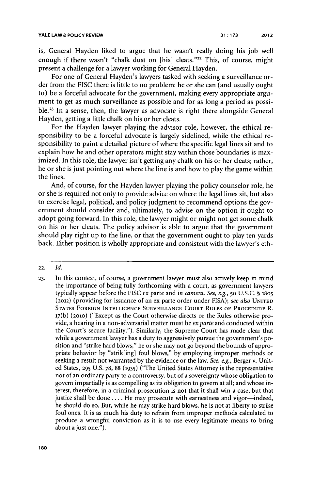is, General Hayden liked to argue that he wasn't really doing his **job** well enough if there wasn't "chalk dust on [his] cleats."<sup>22</sup> This, of course, might present a challenge for a lawyer working for General Hayden.

For one of General Hayden's lawyers tasked with seeking a surveillance order from the **FISC** there is little to no problem: he or she can (and usually ought to) be a forceful advocate for the government, making every appropriate argument to get as much surveillance as possible and for as long a period as possible.<sup>23</sup> In a sense, then, the lawyer as advocate is right there alongside General Hayden, getting a little chalk on his or her cleats.

For the Hayden lawyer playing the advisor role, however, the ethical responsibility to be a forceful advocate is largely sidelined, while the ethical responsibility to paint a detailed picture of where the specific legal lines sit and to explain how he and other operators might stay within those boundaries is maximized. In this role, the lawyer isn't getting any chalk on his or her cleats; rather, he or she is just pointing out where the line is and how to play the game within the lines.

And, of course, for the Hayden lawyer playing the policy counselor role, he or she is required not only to provide advice on where the legal lines sit, but also to exercise legal, political, and policy judgment to recommend options the government should consider and, ultimately, to advise on the option it ought to adopt going forward. In this role, the lawyer might or might not get some chalk on his or her cleats. The policy advisor is able to argue that the government should play right up to the line, or that the government ought to play ten yards back. Either position is wholly appropriate and consistent with the lawyer's eth-

**<sup>22.</sup>** *Id.*

**<sup>23.</sup>** In this context, of course, a government lawyer must also actively keep in mind the importance of being fully forthcoming with a court, as government lawyers typically appear before the **FISC** ex parte and *in camera. See, e.g.,* **50 U.S.C. § 1805 (2012)** (providing for issuance of an ex parte order under **FISA);** *see also* **UNITED STATES FOREIGN INTELLIGENCE SURVEILLANCE COURT RULES OF PROCEDURE** R. **17(b) (2010)** ("Except as the Court otherwise directs or the Rules otherwise provide, a hearing in a non-adversarial matter must be *ex parte* and conducted within the Court's secure facility."). Similarly, the Supreme Court has made clear that while a government lawyer has a duty to aggressively pursue the government's position and "strike hard blows," he or she may not go beyond the bounds of appropriate behavior **by** "strik[ing] foul blows," **by** employing improper methods or seeking a result not warranted **by** the evidence or the law. *See, e.g.,* Berger v. United States, **295 U.S. 78, 88 (1935)** ("The United States Attorney is the representative not of an ordinary party to a controversy, but of a sovereignty whose obligation to govern impartially is as compelling as its obligation to govern at all; and whose interest, therefore, in a criminal prosecution is not that it shall win a case, but that justice shall be done . . . . He may prosecute with earnestness and vigor-indeed, he should do so. But, while he may strike hard blows, he is not at liberty to strike foul ones. It is as much his duty to refrain from improper methods calculated to produce a wrongful conviction as it is to use every legitimate means to bring about a just one.").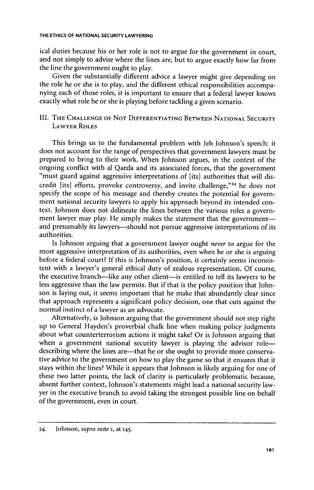ical duties because his or her role is not to argue for the government in court, and not simply to advise where the lines are, but to argue exactly how far from the line the government ought to play.

Given the substantially different advice a lawyer might give depending on the role he or she is to play, and the different ethical responsibilities accompanying each of those roles, it is important to ensure that a federal lawyer knows exactly what role he or she is playing before tackling a given scenario.

# III. **THE CHALLENGE OF NOT DIFFERENTIATING BETWEEN NATIONAL SECURITY LAWYER ROLES**

This brings us to the fundamental problem with Jeh Johnson's speech: it does not account for the range of perspectives that government lawyers must be prepared to bring to their work. When Johnson argues, in the context of the ongoing conflict with al Qaeda and its associated forces, that the government "must guard against aggressive interpretations of [its] authorities that will discredit [its] efforts, provoke controversy, and invite challenge,"<sup>24</sup> he does not specify the scope of his message and thereby creates the potential for government national security lawyers to apply his approach beyond its intended context. Johnson does not delineate the lines between the various roles a government lawyer may play. He simply makes the statement that the governmentand presumably its lawyers—should not pursue aggressive interpretations of its authorities.

Is Johnson arguing that a government lawyer ought *never* to argue for the most aggressive interpretation of its authorities, even when he or she is arguing before a federal court? **If** this is Johnson's position, it certainly seems inconsistent with a lawyer's general ethical duty of zealous representation. **Of** course, the executive branch-like any other client-is entitled to tell its lawyers to be less aggressive than the law permits. But if that is the policy position that Johnson is laying out, it seems important that he make that abundantly clear since that approach represents a significant policy decision, one that cuts against the normal instinct of a lawyer as an advocate.

Alternatively, is Johnson arguing that the government should not step right up to General Hayden's proverbial chalk line when making policy judgments about what counterterrorism actions it might take? Or is Johnson arguing that when a government national security lawyer is playing the advisor roledescribing where the lines are—that he or she ought to provide more conservative advice to the government on how to play the game so that it ensures that it stays within the lines? While it appears that Johnson is likely arguing for one of these two latter points, the lack of clarity is particularly problematic because, absent further context, Johnson's statements might lead a national security lawyer in the executive branch to avoid taking the strongest possible line on behalf of the government, even in court.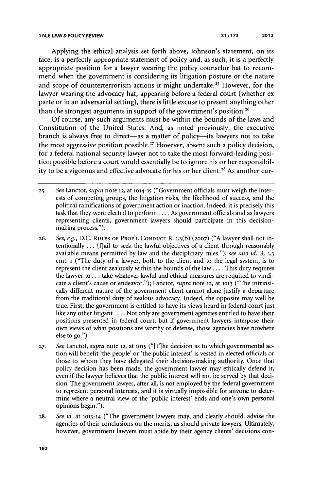Applying the ethical analysis set forth above, Johnson's statement, on its face, is a perfectly appropriate statement of policy and, as such, it is a perfectly appropriate position for a lawyer wearing the policy counselor hat to recommend when the government is considering its litigation posture or the nature and scope of counterterrorism actions it might undertake.<sup>25</sup> However, for the lawyer wearing the advocacy hat, appearing before a federal court (whether ex parte or in an adversarial setting), there is little excuse to present anything other than the strongest arguments in support of the government's position.<sup>26</sup>

**Of** course, any such arguments must be within the bounds of the laws and Constitution of the United States. And, as noted previously, the executive branch is always free to direct-as a matter of policy-its lawyers not to take the most aggressive position possible.<sup>27</sup> However, absent such a policy decision, for a federal national security lawyer not to take the most forward-leading position possible before a court would essentially be to ignore his or her responsibility to be a vigorous and effective advocate for his or her client.<sup>28</sup> As another cur-

- **26.** *See, e.g.,* **D.C. RULES OF PROF'L CONDUCT** R. **1.3(b) (2007) ("A** lawyer shall not intentionally **...** [flail to seek the lawful objectives of a client through reasonably available means permitted **by** law and the disciplinary rules."); *see also id.* R. **1.3** cmt. **i** ("The duty of a lawyer, both to the client and to the legal system, is to represent the client zealously within the bounds of the law **....** This duty requires the lawyer to **...** take whatever lawful and ethical measures are required to vindicate a client's cause or endeavor."); Lanctot, *supra* **note 12,** at **1013** ("The intrinsically different nature of the government client cannot alone justify a departure from the traditional duty of zealous advocacy. Indeed, the opposite may well be true. First, the government is entitled to have its views heard in federal court **just** like any other litigant **....** Not only are government agencies entitled to have their positions presented in federal court, but if government lawyers interpose their own views of what positions are worthy of defense, those agencies have nowhere else to go.").
- **27.** *See Lanctot, supra* note **12,** at **1015** ("[Tihe decision as to which governmental action will benefit 'the people' or 'the public interest' is vested in elected officials or those to whom they have delegated their decision-making authority. Once that policy decision has been made, the government lawyer may ethically defend it, even if the lawyer believes that the public interest will not be served **by** that decision. The government lawyer, after all, is not employed **by** the federal government to represent personal interests, and it is virtually impossible for anyone to determine where a neutral view of the 'public interest' ends and one's own personal opinions begin.").
- **28.** *See id.* at **1013-14** ("The government lawyers may, and clearly should, advise the agencies of their conclusions on the merits, as should private lawyers. Ultimately, however, government lawyers must abide **by** their agency clients' decisions con-

**<sup>25.</sup>** *See Lanctot, supra* note **12,** at **1014-15** ("Government officials must weigh the interests of competing groups, the litigation risks, the likelihood of success, and the political ramifications of government action or inaction. Indeed, it is precisely this task that they were elected to perform **....** As government officials and as lawyers representing clients, government lawyers should participate in this decisionmaking process.").